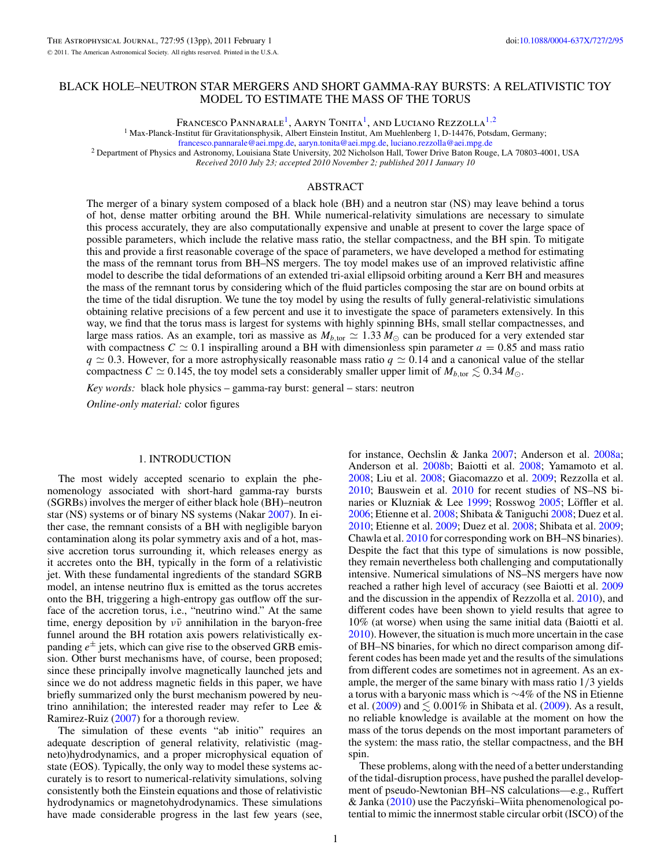# BLACK HOLE–NEUTRON STAR MERGERS AND SHORT GAMMA-RAY BURSTS: A RELATIVISTIC TOY MODEL TO ESTIMATE THE MASS OF THE TORUS

Francesco Pannarale<sup>1</sup>, Aaryn Tonita<sup>1</sup>, and Luciano Rezzolla<sup>1,2</sup>

 $1$  Max-Planck-Institut für Gravitationsphysik, Albert Einstein Institut, Am Muehlenberg 1, D-14476, Potsdam, Germany;

[francesco.pannarale@aei.mpg.de,](mailto:francesco.pannarale@aei.mpg.de) [aaryn.tonita@aei.mpg.de,](mailto:aaryn.tonita@aei.mpg.de) [luciano.rezzolla@aei.mpg.de](mailto:luciano.rezzolla@aei.mpg.de) <sup>2</sup> Department of Physics and Astronomy, Louisiana State University, 202 Nicholson Hall, Tower Drive Baton Rouge, LA 70803-4001, USA

*Received 2010 July 23; accepted 2010 November 2; published 2011 January 10*

### ABSTRACT

The merger of a binary system composed of a black hole (BH) and a neutron star (NS) may leave behind a torus of hot, dense matter orbiting around the BH. While numerical-relativity simulations are necessary to simulate this process accurately, they are also computationally expensive and unable at present to cover the large space of possible parameters, which include the relative mass ratio, the stellar compactness, and the BH spin. To mitigate this and provide a first reasonable coverage of the space of parameters, we have developed a method for estimating the mass of the remnant torus from BH–NS mergers. The toy model makes use of an improved relativistic affine model to describe the tidal deformations of an extended tri-axial ellipsoid orbiting around a Kerr BH and measures the mass of the remnant torus by considering which of the fluid particles composing the star are on bound orbits at the time of the tidal disruption. We tune the toy model by using the results of fully general-relativistic simulations obtaining relative precisions of a few percent and use it to investigate the space of parameters extensively. In this way, we find that the torus mass is largest for systems with highly spinning BHs, small stellar compactnesses, and large mass ratios. As an example, tori as massive as  $M_{b,\text{tor}} \simeq 1.33 M_{\odot}$  can be produced for a very extended star with compactness  $C \approx 0.1$  inspiralling around a BH with dimensionless spin parameter  $a = 0.85$  and mass ratio  $q \approx 0.3$ . However, for a more astrophysically reasonable mass ratio  $q \approx 0.14$  and a canonical value of the stellar compactness  $C \simeq 0.145$ , the toy model sets a considerably smaller upper limit of  $M_{b,\text{tor}} \lesssim 0.34 M_{\odot}$ .

*Key words:* black hole physics – gamma-ray burst: general – stars: neutron

*Online-only material:* color figures

### 1. INTRODUCTION

The most widely accepted scenario to explain the phenomenology associated with short-hard gamma-ray bursts (SGRBs) involves the merger of either black hole (BH)–neutron star (NS) systems or of binary NS systems (Nakar [2007\)](#page-12-0). In either case, the remnant consists of a BH with negligible baryon contamination along its polar symmetry axis and of a hot, massive accretion torus surrounding it, which releases energy as it accretes onto the BH, typically in the form of a relativistic jet. With these fundamental ingredients of the standard SGRB model, an intense neutrino flux is emitted as the torus accretes onto the BH, triggering a high-entropy gas outflow off the surface of the accretion torus, i.e., "neutrino wind." At the same time, energy deposition by *ν* $\bar{v}$  annihilation in the baryon-free funnel around the BH rotation axis powers relativistically expanding  $e^{\pm}$  jets, which can give rise to the observed GRB emission. Other burst mechanisms have, of course, been proposed; since these principally involve magnetically launched jets and since we do not address magnetic fields in this paper, we have briefly summarized only the burst mechanism powered by neutrino annihilation; the interested reader may refer to Lee & Ramirez-Ruiz [\(2007\)](#page-12-0) for a thorough review.

The simulation of these events "ab initio" requires an adequate description of general relativity, relativistic (magneto)hydrodynamics, and a proper microphysical equation of state (EOS). Typically, the only way to model these systems accurately is to resort to numerical-relativity simulations, solving consistently both the Einstein equations and those of relativistic hydrodynamics or magnetohydrodynamics. These simulations have made considerable progress in the last few years (see,

for instance, Oechslin & Janka [2007;](#page-12-0) Anderson et al. [2008a;](#page-11-0) Anderson et al. [2008b;](#page-11-0) Baiotti et al. [2008;](#page-11-0) Yamamoto et al. [2008;](#page-12-0) Liu et al. [2008;](#page-12-0) Giacomazzo et al. [2009;](#page-12-0) Rezzolla et al. [2010;](#page-12-0) Bauswein et al. [2010](#page-11-0) for recent studies of NS–NS binaries or Kluzniak & Lee  $1999$ ; Rosswog  $2005$ ; Löffler et al. [2006;](#page-12-0) Etienne et al. [2008;](#page-12-0) Shibata & Taniguchi [2008;](#page-12-0) Duez et al. [2010;](#page-12-0) Etienne et al. [2009;](#page-12-0) Duez et al. [2008;](#page-12-0) Shibata et al. [2009;](#page-12-0) Chawla et al. [2010](#page-12-0) for corresponding work on BH–NS binaries). Despite the fact that this type of simulations is now possible, they remain nevertheless both challenging and computationally intensive. Numerical simulations of NS–NS mergers have now reached a rather high level of accuracy (see Baiotti et al. [2009](#page-11-0) and the discussion in the appendix of Rezzolla et al. [2010\)](#page-12-0), and different codes have been shown to yield results that agree to 10% (at worse) when using the same initial data (Baiotti et al. [2010\)](#page-11-0). However, the situation is much more uncertain in the case of BH–NS binaries, for which no direct comparison among different codes has been made yet and the results of the simulations from different codes are sometimes not in agreement. As an example, the merger of the same binary with mass ratio 1*/*3 yields a torus with a baryonic mass which is ∼4% of the NS in Etienne et al. [\(2009\)](#page-12-0) and  $\lesssim 0.001\%$  in Shibata et al. (2009). As a result, no reliable knowledge is available at the moment on how the mass of the torus depends on the most important parameters of the system: the mass ratio, the stellar compactness, and the BH spin.

These problems, along with the need of a better understanding of the tidal-disruption process, have pushed the parallel development of pseudo-Newtonian BH–NS calculations—e.g., Ruffert & Janka  $(2010)$  use the Paczyński–Wiita phenomenological potential to mimic the innermost stable circular orbit (ISCO) of the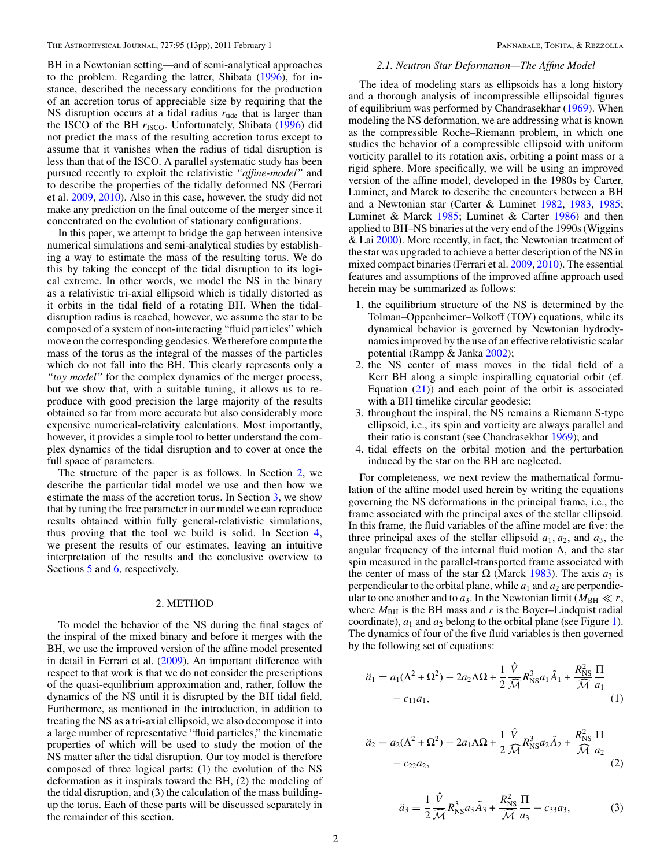<span id="page-1-0"></span>BH in a Newtonian setting—and of semi-analytical approaches to the problem. Regarding the latter, Shibata [\(1996\)](#page-12-0), for instance, described the necessary conditions for the production of an accretion torus of appreciable size by requiring that the NS disruption occurs at a tidal radius  $r_{\text{tide}}$  that is larger than the ISCO of the BH  $r_{\text{ISCO}}$ . Unfortunately, Shibata [\(1996\)](#page-12-0) did not predict the mass of the resulting accretion torus except to assume that it vanishes when the radius of tidal disruption is less than that of the ISCO. A parallel systematic study has been pursued recently to exploit the relativistic *"affine-model"* and to describe the properties of the tidally deformed NS (Ferrari et al. [2009,](#page-12-0) [2010\)](#page-12-0). Also in this case, however, the study did not make any prediction on the final outcome of the merger since it concentrated on the evolution of stationary configurations.

In this paper, we attempt to bridge the gap between intensive numerical simulations and semi-analytical studies by establishing a way to estimate the mass of the resulting torus. We do this by taking the concept of the tidal disruption to its logical extreme. In other words, we model the NS in the binary as a relativistic tri-axial ellipsoid which is tidally distorted as it orbits in the tidal field of a rotating BH. When the tidaldisruption radius is reached, however, we assume the star to be composed of a system of non-interacting "fluid particles" which move on the corresponding geodesics. We therefore compute the mass of the torus as the integral of the masses of the particles which do not fall into the BH. This clearly represents only a *"toy model"* for the complex dynamics of the merger process, but we show that, with a suitable tuning, it allows us to reproduce with good precision the large majority of the results obtained so far from more accurate but also considerably more expensive numerical-relativity calculations. Most importantly, however, it provides a simple tool to better understand the complex dynamics of the tidal disruption and to cover at once the full space of parameters.

The structure of the paper is as follows. In Section 2, we describe the particular tidal model we use and then how we estimate the mass of the accretion torus. In Section [3,](#page-4-0) we show that by tuning the free parameter in our model we can reproduce results obtained within fully general-relativistic simulations, thus proving that the tool we build is solid. In Section [4,](#page-7-0) we present the results of our estimates, leaving an intuitive interpretation of the results and the conclusive overview to Sections [5](#page-8-0) and [6,](#page-8-0) respectively.

### 2. METHOD

To model the behavior of the NS during the final stages of the inspiral of the mixed binary and before it merges with the BH, we use the improved version of the affine model presented in detail in Ferrari et al. [\(2009\)](#page-12-0). An important difference with respect to that work is that we do not consider the prescriptions of the quasi-equilibrium approximation and, rather, follow the dynamics of the NS until it is disrupted by the BH tidal field. Furthermore, as mentioned in the introduction, in addition to treating the NS as a tri-axial ellipsoid, we also decompose it into a large number of representative "fluid particles," the kinematic properties of which will be used to study the motion of the NS matter after the tidal disruption. Our toy model is therefore composed of three logical parts: (1) the evolution of the NS deformation as it inspirals toward the BH, (2) the modeling of the tidal disruption, and (3) the calculation of the mass buildingup the torus. Each of these parts will be discussed separately in the remainder of this section.

### *2.1. Neutron Star Deformation—The Affine Model*

The idea of modeling stars as ellipsoids has a long history and a thorough analysis of incompressible ellipsoidal figures of equilibrium was performed by Chandrasekhar [\(1969\)](#page-12-0). When modeling the NS deformation, we are addressing what is known as the compressible Roche–Riemann problem, in which one studies the behavior of a compressible ellipsoid with uniform vorticity parallel to its rotation axis, orbiting a point mass or a rigid sphere. More specifically, we will be using an improved version of the affine model, developed in the 1980s by Carter, Luminet, and Marck to describe the encounters between a BH and a Newtonian star (Carter & Luminet [1982,](#page-11-0) [1983,](#page-11-0) [1985;](#page-12-0) Luminet & Marck [1985;](#page-12-0) Luminet & Carter [1986\)](#page-12-0) and then applied to BH–NS binaries at the very end of the 1990s (Wiggins & Lai [2000\)](#page-12-0). More recently, in fact, the Newtonian treatment of the star was upgraded to achieve a better description of the NS in mixed compact binaries (Ferrari et al. [2009,](#page-12-0) [2010\)](#page-12-0). The essential features and assumptions of the improved affine approach used herein may be summarized as follows:

- 1. the equilibrium structure of the NS is determined by the Tolman–Oppenheimer–Volkoff (TOV) equations, while its dynamical behavior is governed by Newtonian hydrodynamics improved by the use of an effective relativistic scalar potential (Rampp & Janka [2002\)](#page-12-0);
- 2. the NS center of mass moves in the tidal field of a Kerr BH along a simple inspiralling equatorial orbit (cf. Equation  $(21)$  and each point of the orbit is associated with a BH timelike circular geodesic;
- 3. throughout the inspiral, the NS remains a Riemann S-type ellipsoid, i.e., its spin and vorticity are always parallel and their ratio is constant (see Chandrasekhar [1969\)](#page-12-0); and
- 4. tidal effects on the orbital motion and the perturbation induced by the star on the BH are neglected.

For completeness, we next review the mathematical formulation of the affine model used herein by writing the equations governing the NS deformations in the principal frame, i.e., the frame associated with the principal axes of the stellar ellipsoid. In this frame, the fluid variables of the affine model are five: the three principal axes of the stellar ellipsoid  $a_1, a_2$ , and  $a_3$ , the angular frequency of the internal fluid motion Λ*,* and the star spin measured in the parallel-transported frame associated with the center of mass of the star  $\Omega$  (Marck [1983\)](#page-12-0). The axis  $a_3$  is perpendicular to the orbital plane, while  $a_1$  and  $a_2$  are perpendicular to one another and to  $a_3$ . In the Newtonian limit ( $M_{\text{BH}} \ll r$ , where  $M_{BH}$  is the BH mass and  $r$  is the Boyer–Lindquist radial coordinate),  $a_1$  and  $a_2$  belong to the orbital plane (see Figure [1\)](#page-2-0). The dynamics of four of the five fluid variables is then governed by the following set of equations:

$$
\ddot{a}_1 = a_1(\Lambda^2 + \Omega^2) - 2a_2\Lambda\Omega + \frac{1}{2}\frac{\hat{V}}{\widehat{\mathcal{M}}}R_{\rm NS}^3 a_1 \tilde{A}_1 + \frac{R_{\rm NS}^2}{\widehat{\mathcal{M}}} \frac{\Pi}{a_1} - c_{11}a_1,\tag{1}
$$

$$
\ddot{a}_2 = a_2(\Lambda^2 + \Omega^2) - 2a_1\Lambda\Omega + \frac{1}{2}\frac{\hat{V}}{\widehat{\mathcal{M}}}R_{\text{NS}}^3a_2\tilde{A}_2 + \frac{R_{\text{NS}}^2}{\widehat{\mathcal{M}}}\frac{\Pi}{a_2} - c_{22}a_2,\tag{2}
$$

$$
\ddot{a}_3 = \frac{1}{2} \frac{\hat{V}}{\widehat{\mathcal{M}}} R_{\text{NS}}^3 a_3 \tilde{A}_3 + \frac{R_{\text{NS}}^2}{\widehat{\mathcal{M}}} \frac{\Pi}{a_3} - c_{33} a_3,\tag{3}
$$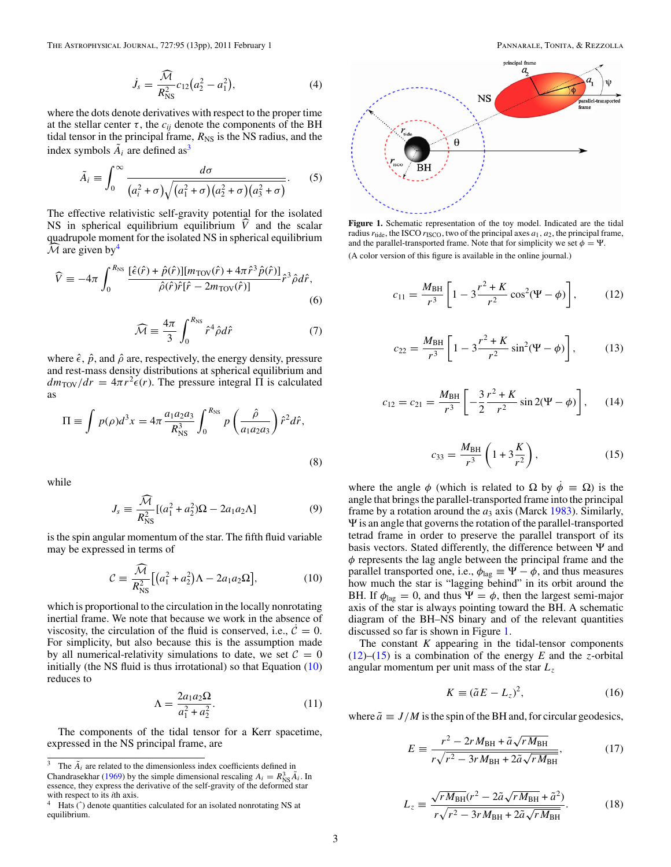<span id="page-2-0"></span>The Astrophysical Journal, 727:95 (13pp), 2011 February 1 Pannarale, Tonita, & Rezzolla

$$
\dot{J}_s = \frac{\widehat{\mathcal{M}}}{R_{\rm NS}^2} c_{12} (a_2^2 - a_1^2), \tag{4}
$$

where the dots denote derivatives with respect to the proper time at the stellar center  $\tau$ , the  $c_{ij}$  denote the components of the BH tidal tensor in the principal frame,  $R_{\text{NS}}$  is the NS radius, and the index symbols  $\overline{A}_i$  are defined as<sup>3</sup>

$$
\tilde{A}_i \equiv \int_0^\infty \frac{d\sigma}{\left(a_i^2 + \sigma\right) \sqrt{\left(a_1^2 + \sigma\right) \left(a_2^2 + \sigma\right) \left(a_3^2 + \sigma\right)}}. \tag{5}
$$

The effective relativistic self-gravity potential for the isolated NS in spherical equilibrium equilibrium *V* and the scalar quadrupole moment for the isolated NS in spherical equilibrium  $\widehat{\mathcal{M}}$  are given by<sup>4</sup>

$$
\widehat{V} \equiv -4\pi \int_0^{R_{\rm NS}} \frac{[\hat{\epsilon}(\hat{r}) + \hat{p}(\hat{r})][m_{\rm TOV}(\hat{r}) + 4\pi \hat{r}^3 \hat{p}(\hat{r})]}{\hat{\rho}(\hat{r})\hat{r}[\hat{r} - 2m_{\rm TOV}(\hat{r})]} \hat{r}^3 \hat{\rho} d\hat{r},\tag{6}
$$

$$
\widehat{\mathcal{M}} \equiv \frac{4\pi}{3} \int_0^{R_{\rm NS}} \hat{r}^4 \hat{\rho} d\hat{r}
$$
 (7)

where  $\hat{\epsilon}$ ,  $\hat{p}$ , and  $\hat{\rho}$  are, respectively, the energy density, pressure and rest-mass density distributions at spherical equilibrium and  $dm_{\text{TOV}}/dr = 4\pi r^2 \epsilon(r)$ . The pressure integral  $\Pi$  is calculated as

$$
\Pi \equiv \int p(\rho)d^3x = 4\pi \frac{a_1a_2a_3}{R_{\rm NS}^3} \int_0^{R_{\rm NS}} p\left(\frac{\hat{\rho}}{a_1a_2a_3}\right) \hat{r}^2 d\hat{r},
$$

while

$$
J_s \equiv \frac{\widehat{\mathcal{M}}}{R_{\rm NS}^2} [(a_1^2 + a_2^2)\Omega - 2a_1 a_2 \Lambda] \tag{9}
$$

is the spin angular momentum of the star. The fifth fluid variable may be expressed in terms of

$$
\mathcal{C} \equiv \frac{\widehat{\mathcal{M}}}{R_{\rm NS}^2} \left[ \left( a_1^2 + a_2^2 \right) \Lambda - 2a_1 a_2 \Omega \right],\tag{10}
$$

which is proportional to the circulation in the locally nonrotating inertial frame. We note that because we work in the absence of viscosity, the circulation of the fluid is conserved, i.e.,  $\dot{\mathcal{C}} = 0$ . For simplicity, but also because this is the assumption made by all numerical-relativity simulations to date, we set  $C = 0$ initially (the NS fluid is thus irrotational) so that Equation (10) reduces to

$$
\Lambda = \frac{2a_1a_2\Omega}{a_1^2 + a_2^2}.
$$
 (11)

The components of the tidal tensor for a Kerr spacetime, expressed in the NS principal frame, are



**Figure 1.** Schematic representation of the toy model. Indicated are the tidal radius  $r_{\text{tide}}$ , the ISCO  $r_{\text{ISCO}}$ , two of the principal axes  $a_1, a_2$ , the principal frame, and the parallel-transported frame. Note that for simplicity we set  $\phi = \Psi$ . (A color version of this figure is available in the online journal.)

$$
c_{11} = \frac{M_{\text{BH}}}{r^3} \left[ 1 - 3 \frac{r^2 + K}{r^2} \cos^2(\Psi - \phi) \right],\tag{12}
$$

$$
c_{22} = \frac{M_{\text{BH}}}{r^3} \left[ 1 - 3 \frac{r^2 + K}{r^2} \sin^2(\Psi - \phi) \right],\tag{13}
$$

$$
c_{12} = c_{21} = \frac{M_{\text{BH}}}{r^3} \left[ -\frac{3}{2} \frac{r^2 + K}{r^2} \sin 2(\Psi - \phi) \right], \quad (14)
$$

$$
c_{33} = \frac{M_{\text{BH}}}{r^3} \left( 1 + 3 \frac{K}{r^2} \right),\tag{15}
$$

where the angle  $\phi$  (which is related to  $\Omega$  by  $\dot{\phi} \equiv \Omega$ ) is the angle that brings the parallel-transported frame into the principal frame by a rotation around the  $a_3$  axis (Marck [1983\)](#page-12-0). Similarly, Ψ is an angle that governs the rotation of the parallel-transported tetrad frame in order to preserve the parallel transport of its basis vectors. Stated differently, the difference between Ψ and *φ* represents the lag angle between the principal frame and the parallel transported one, i.e.,  $\phi_{\text{lag}} \equiv \Psi - \phi$ , and thus measures how much the star is "lagging behind" in its orbit around the BH. If  $\phi_{\text{lag}} = 0$ , and thus  $\Psi = \phi$ , then the largest semi-major axis of the star is always pointing toward the BH. A schematic diagram of the BH–NS binary and of the relevant quantities discussed so far is shown in Figure 1.

The constant *K* appearing in the tidal-tensor components (12)–(15) is a combination of the energy *E* and the *z*-orbital angular momentum per unit mass of the star *Lz*

$$
K \equiv (\tilde{a}E - L_z)^2,\tag{16}
$$

where  $\tilde{a} \equiv J/M$  is the spin of the BH and, for circular geodesics,

$$
E = \frac{r^2 - 2rM_{\text{BH}} + \tilde{a}\sqrt{rM_{\text{BH}}}}{r\sqrt{r^2 - 3rM_{\text{BH}} + 2\tilde{a}\sqrt{rM_{\text{BH}}}}},\tag{17}
$$

$$
L_z \equiv \frac{\sqrt{r M_{\text{BH}}}(r^2 - 2\tilde{a}\sqrt{r M_{\text{BH}}} + \tilde{a}^2)}{r\sqrt{r^2 - 3r M_{\text{BH}} + 2\tilde{a}\sqrt{r M_{\text{BH}}}}}. \tag{18}
$$

(8)

 $\overline{3}$  The  $\tilde{A}_i$  are related to the dimensionless index coefficients defined in Chandrasekhar [\(1969\)](#page-12-0) by the simple dimensional rescaling  $A_i = R_{NS}^3 \tilde{A}_i$ . In essence, they express the derivative of the self-gravity of the deformed star with respect to its *i*th axis.

Hats ( $\hat{ }$ ) denote quantities calculated for an isolated nonrotating NS at equilibrium.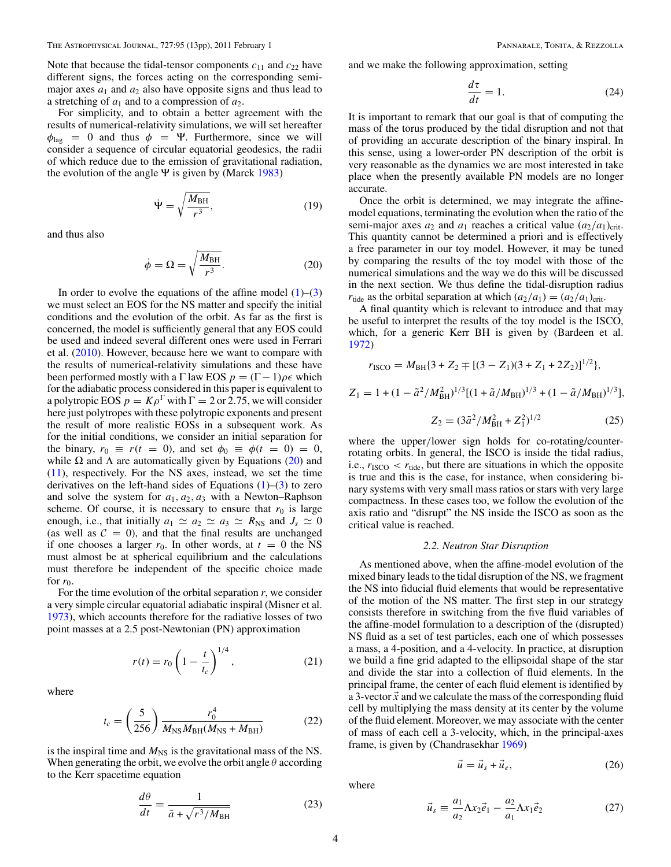<span id="page-3-0"></span>Note that because the tidal-tensor components  $c_{11}$  and  $c_{22}$  have different signs, the forces acting on the corresponding semimajor axes  $a_1$  and  $a_2$  also have opposite signs and thus lead to a stretching of  $a_1$  and to a compression of  $a_2$ .

For simplicity, and to obtain a better agreement with the results of numerical-relativity simulations, we will set hereafter  $\phi_{\text{lag}} = 0$  and thus  $\phi = \Psi$ . Furthermore, since we will consider a sequence of circular equatorial geodesics, the radii of which reduce due to the emission of gravitational radiation, the evolution of the angle Ψ is given by (Marck [1983\)](#page-12-0)

$$
\dot{\Psi} = \sqrt{\frac{M_{\text{BH}}}{r^3}},\tag{19}
$$

and thus also

$$
\dot{\phi} = \Omega = \sqrt{\frac{M_{\text{BH}}}{r^3}}.
$$
\n(20)

In order to evolve the equations of the affine model  $(1)$ – $(3)$ we must select an EOS for the NS matter and specify the initial conditions and the evolution of the orbit. As far as the first is concerned, the model is sufficiently general that any EOS could be used and indeed several different ones were used in Ferrari et al. [\(2010\)](#page-12-0). However, because here we want to compare with the results of numerical-relativity simulations and these have been performed mostly with a  $\Gamma$  law EOS  $p = (\Gamma - 1)\rho \epsilon$  which for the adiabatic process considered in this paper is equivalent to a polytropic EOS  $p = K\rho^{\Gamma}$  with  $\Gamma = 2$  or 2.75, we will consider here just polytropes with these polytropic exponents and present the result of more realistic EOSs in a subsequent work. As for the initial conditions, we consider an initial separation for the binary,  $r_0 \equiv r(t = 0)$ , and set  $\phi_0 \equiv \phi(t = 0) = 0$ , while  $\Omega$  and  $\Lambda$  are automatically given by Equations (20) and [\(11\)](#page-2-0), respectively. For the NS axes, instead, we set the time derivatives on the left-hand sides of Equations  $(1)$ – $(3)$  to zero and solve the system for  $a_1, a_2, a_3$  with a Newton–Raphson scheme. Of course, it is necessary to ensure that  $r_0$  is large enough, i.e., that initially  $a_1 \simeq a_2 \simeq a_3 \simeq R_{\text{NS}}$  and  $J_s \simeq 0$ (as well as  $C = 0$ ), and that the final results are unchanged if one chooses a larger  $r_0$ . In other words, at  $t = 0$  the NS must almost be at spherical equilibrium and the calculations must therefore be independent of the specific choice made for  $r_0$ .

For the time evolution of the orbital separation *r*, we consider a very simple circular equatorial adiabatic inspiral (Misner et al. [1973\)](#page-12-0), which accounts therefore for the radiative losses of two point masses at a 2.5 post-Newtonian (PN) approximation

$$
r(t) = r_0 \left( 1 - \frac{t}{t_c} \right)^{1/4},
$$
 (21)

where

$$
t_c = \left(\frac{5}{256}\right) \frac{r_0^4}{M_{\rm NS} M_{\rm BH}(M_{\rm NS} + M_{\rm BH})}
$$
(22)

is the inspiral time and  $M<sub>NS</sub>$  is the gravitational mass of the NS. When generating the orbit, we evolve the orbit angle *θ* according to the Kerr spacetime equation

$$
\frac{d\theta}{dt} = \frac{1}{\tilde{a} + \sqrt{r^3 / M_{\text{BH}}}}\tag{23}
$$

and we make the following approximation, setting

$$
\frac{d\tau}{dt} = 1.\t(24)
$$

It is important to remark that our goal is that of computing the mass of the torus produced by the tidal disruption and not that of providing an accurate description of the binary inspiral. In this sense, using a lower-order PN description of the orbit is very reasonable as the dynamics we are most interested in take place when the presently available PN models are no longer accurate.

Once the orbit is determined, we may integrate the affinemodel equations, terminating the evolution when the ratio of the semi-major axes  $a_2$  and  $a_1$  reaches a critical value  $(a_2/a_1)_{\text{crit}}$ . This quantity cannot be determined a priori and is effectively a free parameter in our toy model. However, it may be tuned by comparing the results of the toy model with those of the numerical simulations and the way we do this will be discussed in the next section. We thus define the tidal-disruption radius *r*<sub>tide</sub> as the orbital separation at which  $(a_2/a_1) = (a_2/a_1)_{\text{crit}}$ .

A final quantity which is relevant to introduce and that may be useful to interpret the results of the toy model is the ISCO, which, for a generic Kerr BH is given by (Bardeen et al. [1972\)](#page-11-0)

$$
r_{\text{ISCO}} = M_{\text{BH}} \{3 + Z_2 \mp [(3 - Z_1)(3 + Z_1 + 2Z_2)]^{1/2}\},
$$
  
\n
$$
Z_1 = 1 + (1 - \tilde{a}^2 / M_{\text{BH}}^2)^{1/3} [(1 + \tilde{a} / M_{\text{BH}})^{1/3} + (1 - \tilde{a} / M_{\text{BH}})^{1/3}],
$$
  
\n
$$
Z_2 = (3\tilde{a}^2 / M_{\text{BH}}^2 + Z_1^2)^{1/2}
$$
(25)

where the upper*/*lower sign holds for co-rotating/counterrotating orbits. In general, the ISCO is inside the tidal radius, i.e.,  $r_{\text{ISCO}} < r_{\text{tide}}$ , but there are situations in which the opposite is true and this is the case, for instance, when considering binary systems with very small mass ratios or stars with very large compactness. In these cases too, we follow the evolution of the axis ratio and "disrupt" the NS inside the ISCO as soon as the critical value is reached.

### *2.2. Neutron Star Disruption*

As mentioned above, when the affine-model evolution of the mixed binary leads to the tidal disruption of the NS, we fragment the NS into fiducial fluid elements that would be representative of the motion of the NS matter. The first step in our strategy consists therefore in switching from the five fluid variables of the affine-model formulation to a description of the (disrupted) NS fluid as a set of test particles, each one of which possesses a mass, a 4-position, and a 4-velocity. In practice, at disruption we build a fine grid adapted to the ellipsoidal shape of the star and divide the star into a collection of fluid elements. In the principal frame, the center of each fluid element is identified by a 3-vector  $\vec{x}$  and we calculate the mass of the corresponding fluid cell by multiplying the mass density at its center by the volume of the fluid element. Moreover, we may associate with the center of mass of each cell a 3-velocity, which, in the principal-axes frame, is given by (Chandrasekhar [1969\)](#page-12-0)

$$
\vec{u} = \vec{u}_s + \vec{u}_e,\tag{26}
$$

where

$$
\vec{u}_s \equiv \frac{a_1}{a_2} \Lambda x_2 \vec{e}_1 - \frac{a_2}{a_1} \Lambda x_1 \vec{e}_2 \tag{27}
$$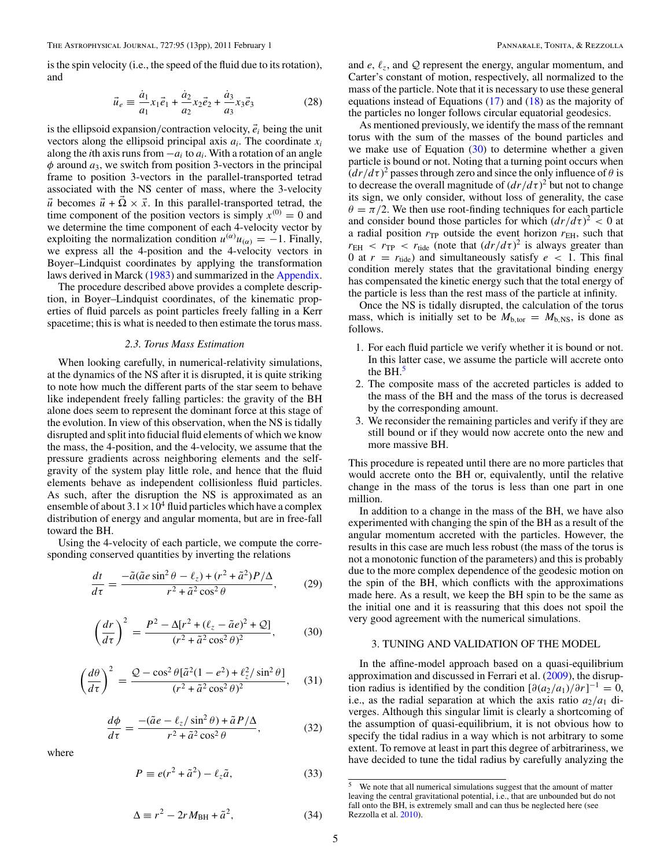<span id="page-4-0"></span>is the spin velocity (i.e., the speed of the fluid due to its rotation), and

$$
\vec{u}_e \equiv \frac{\dot{a}_1}{a_1} x_1 \vec{e}_1 + \frac{\dot{a}_2}{a_2} x_2 \vec{e}_2 + \frac{\dot{a}_3}{a_3} x_3 \vec{e}_3 \tag{28}
$$

is the ellipsoid expansion/contraction velocity,  $\vec{e}_i$  being the unit vectors along the ellipsoid principal axis *ai*. The coordinate *xi* along the *i*th axis runs from  $-a_i$  to  $a_i$ . With a rotation of an angle *φ* around *a*3, we switch from position 3-vectors in the principal frame to position 3-vectors in the parallel-transported tetrad associated with the NS center of mass, where the 3-velocity  $\vec{u}$  becomes  $\vec{u} + \Omega \times \vec{x}$ . In this parallel-transported tetrad, the time component of the position vectors is simply  $x^{(0)} = 0$  and we determine the time component of each 4-velocity vector by exploiting the normalization condition  $u^{(\alpha)}u_{(\alpha)} = -1$ . Finally, we express all the 4-position and the 4-velocity vectors in Boyer–Lindquist coordinates by applying the transformation laws derived in Marck [\(1983\)](#page-12-0) and summarized in the [Appendix.](#page-10-0)

The procedure described above provides a complete description, in Boyer–Lindquist coordinates, of the kinematic properties of fluid parcels as point particles freely falling in a Kerr spacetime; this is what is needed to then estimate the torus mass.

## *2.3. Torus Mass Estimation*

When looking carefully, in numerical-relativity simulations, at the dynamics of the NS after it is disrupted, it is quite striking to note how much the different parts of the star seem to behave like independent freely falling particles: the gravity of the BH alone does seem to represent the dominant force at this stage of the evolution. In view of this observation, when the NS is tidally disrupted and split into fiducial fluid elements of which we know the mass, the 4-position, and the 4-velocity, we assume that the pressure gradients across neighboring elements and the selfgravity of the system play little role, and hence that the fluid elements behave as independent collisionless fluid particles. As such, after the disruption the NS is approximated as an ensemble of about  $3.1 \times 10^4$  fluid particles which have a complex distribution of energy and angular momenta, but are in free-fall toward the BH.

Using the 4-velocity of each particle, we compute the corresponding conserved quantities by inverting the relations

$$
\frac{dt}{d\tau} = \frac{-\tilde{a}(\tilde{a}e\sin^2\theta - \ell_z) + (r^2 + \tilde{a}^2)P/\Delta}{r^2 + \tilde{a}^2\cos^2\theta},\qquad(29)
$$

$$
\left(\frac{dr}{d\tau}\right)^2 = \frac{P^2 - \Delta[r^2 + (\ell_z - \tilde{a}e)^2 + \mathcal{Q}]}{(r^2 + \tilde{a}^2\cos^2\theta)^2},\tag{30}
$$

$$
\left(\frac{d\theta}{d\tau}\right)^2 = \frac{Q - \cos^2\theta[\tilde{a}^2(1 - e^2) + \ell_z^2/\sin^2\theta]}{(r^2 + \tilde{a}^2\cos^2\theta)^2},\quad(31)
$$

$$
\frac{d\phi}{d\tau} = \frac{-(\tilde{a}e - \ell_z/\sin^2\theta) + \tilde{a}P/\Delta}{r^2 + \tilde{a}^2\cos^2\theta},
$$
(32)

where

$$
P \equiv e(r^2 + \tilde{a}^2) - \ell_z \tilde{a},\tag{33}
$$

$$
\Delta \equiv r^2 - 2r M_{\rm BH} + \tilde{a}^2,\tag{34}
$$

and  $e, \ell_z$ , and  $Q$  represent the energy, angular momentum, and Carter's constant of motion, respectively, all normalized to the mass of the particle. Note that it is necessary to use these general equations instead of Equations  $(17)$  and  $(18)$  as the majority of the particles no longer follows circular equatorial geodesics.

As mentioned previously, we identify the mass of the remnant torus with the sum of the masses of the bound particles and we make use of Equation  $(30)$  to determine whether a given particle is bound or not. Noting that a turning point occurs when  $(dr/d\tau)^2$  passes through zero and since the only influence of  $\theta$  is to decrease the overall magnitude of  $(dr/d\tau)^2$  but not to change its sign, we only consider, without loss of generality, the case  $\theta = \pi/2$ . We then use root-finding techniques for each particle and consider bound those particles for which  $\left(\frac{dr}{dt}\right)^2 < 0$  at a radial position  $r_{TP}$  outside the event horizon  $r_{EH}$ , such that  $r_{\text{EH}}$  *< r<sub>TP</sub> < r<sub>tide</sub>* (note that  $(dr/d\tau)^2$  is always greater than 0 at  $r = r_{\text{tide}}$ ) and simultaneously satisfy  $e < 1$ . This final condition merely states that the gravitational binding energy has compensated the kinetic energy such that the total energy of the particle is less than the rest mass of the particle at infinity.

Once the NS is tidally disrupted, the calculation of the torus mass, which is initially set to be  $M_{b,\text{tor}} = M_{b,\text{NS}}$ , is done as follows.

- 1. For each fluid particle we verify whether it is bound or not. In this latter case, we assume the particle will accrete onto the  $BH<sup>5</sup>$
- 2. The composite mass of the accreted particles is added to the mass of the BH and the mass of the torus is decreased by the corresponding amount.
- 3. We reconsider the remaining particles and verify if they are still bound or if they would now accrete onto the new and more massive BH.

This procedure is repeated until there are no more particles that would accrete onto the BH or, equivalently, until the relative change in the mass of the torus is less than one part in one million.

In addition to a change in the mass of the BH, we have also experimented with changing the spin of the BH as a result of the angular momentum accreted with the particles. However, the results in this case are much less robust (the mass of the torus is not a monotonic function of the parameters) and this is probably due to the more complex dependence of the geodesic motion on the spin of the BH, which conflicts with the approximations made here. As a result, we keep the BH spin to be the same as the initial one and it is reassuring that this does not spoil the very good agreement with the numerical simulations.

## 3. TUNING AND VALIDATION OF THE MODEL

In the affine-model approach based on a quasi-equilibrium approximation and discussed in Ferrari et al. [\(2009\)](#page-12-0), the disruption radius is identified by the condition  $\left[\frac{\partial (a_2/a_1)}{\partial r}\right]^{-1} = 0$ , i.e., as the radial separation at which the axis ratio  $a_2/a_1$  diverges. Although this singular limit is clearly a shortcoming of the assumption of quasi-equilibrium, it is not obvious how to specify the tidal radius in a way which is not arbitrary to some extent. To remove at least in part this degree of arbitrariness, we have decided to tune the tidal radius by carefully analyzing the

<sup>5</sup> We note that all numerical simulations suggest that the amount of matter leaving the central gravitational potential, i.e., that are unbounded but do not fall onto the BH, is extremely small and can thus be neglected here (see Rezzolla et al. [2010\)](#page-12-0).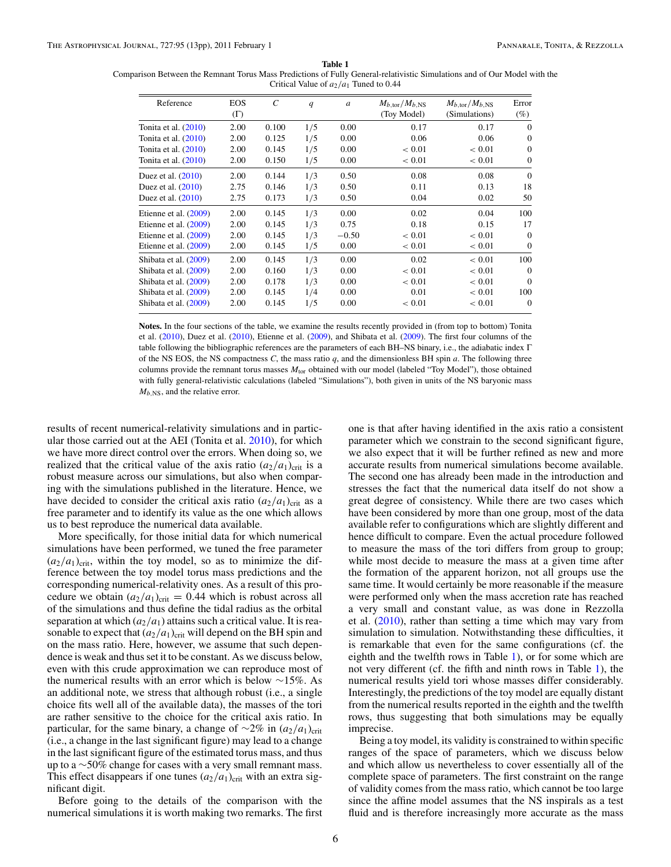**Table 1**

<span id="page-5-0"></span>Comparison Between the Remnant Torus Mass Predictions of Fully General-relativistic Simulations and of Our Model with the Critical Value of  $a_2/a_1$  Tuned to 0.44

| Reference               | <b>EOS</b><br>$(\Gamma)$ | C     | q   | a       | $M_{b, \text{tor}}/M_{b, \text{NS}}$<br>(Toy Model) | $M_{b, \text{tor}}/M_{b, \text{NS}}$<br>(Simulations) | Error<br>$(\%)$ |
|-------------------------|--------------------------|-------|-----|---------|-----------------------------------------------------|-------------------------------------------------------|-----------------|
| Tonita et al. (2010)    | 2.00                     | 0.100 | 1/5 | 0.00    | 0.17                                                | 0.17                                                  | $\Omega$        |
| Tonita et al. (2010)    | 2.00                     | 0.125 | 1/5 | 0.00    | 0.06                                                | 0.06                                                  | $\mathbf{0}$    |
| Tonita et al. $(2010)$  | 2.00                     | 0.145 | 1/5 | 0.00    | < 0.01                                              | < 0.01                                                | $\Omega$        |
| Tonita et al. (2010)    | 2.00                     | 0.150 | 1/5 | 0.00    | < 0.01                                              | < 0.01                                                | $\mathbf{0}$    |
| Duez et al. $(2010)$    | 2.00                     | 0.144 | 1/3 | 0.50    | 0.08                                                | 0.08                                                  | $\Omega$        |
| Duez et al. $(2010)$    | 2.75                     | 0.146 | 1/3 | 0.50    | 0.11                                                | 0.13                                                  | 18              |
| Duez et al. (2010)      | 2.75                     | 0.173 | 1/3 | 0.50    | 0.04                                                | 0.02                                                  | 50              |
| Etienne et al. $(2009)$ | 2.00                     | 0.145 | 1/3 | 0.00    | 0.02                                                | 0.04                                                  | 100             |
| Etienne et al. $(2009)$ | 2.00                     | 0.145 | 1/3 | 0.75    | 0.18                                                | 0.15                                                  | 17              |
| Etienne et al. $(2009)$ | 2.00                     | 0.145 | 1/3 | $-0.50$ | < 0.01                                              | < 0.01                                                | $\Omega$        |
| Etienne et al. $(2009)$ | 2.00                     | 0.145 | 1/5 | 0.00    | < 0.01                                              | < 0.01                                                | $\mathbf{0}$    |
| Shibata et al. (2009)   | 2.00                     | 0.145 | 1/3 | 0.00    | 0.02                                                | < 0.01                                                | 100             |
| Shibata et al. (2009)   | 2.00                     | 0.160 | 1/3 | 0.00    | < 0.01                                              | ${}< 0.01$                                            | $\Omega$        |
| Shibata et al. (2009)   | 2.00                     | 0.178 | 1/3 | 0.00    | < 0.01                                              | < 0.01                                                | $\Omega$        |
| Shibata et al. (2009)   | 2.00                     | 0.145 | 1/4 | 0.00    | 0.01                                                | ${}< 0.01$                                            | 100             |
| Shibata et al. (2009)   | 2.00                     | 0.145 | 1/5 | 0.00    | < 0.01                                              | ${}< 0.01$                                            | $\Omega$        |
|                         |                          |       |     |         |                                                     |                                                       |                 |

**Notes.** In the four sections of the table, we examine the results recently provided in (from top to bottom) Tonita et al. [\(2010\)](#page-12-0), Duez et al. [\(2010\)](#page-12-0), Etienne et al. [\(2009\)](#page-12-0), and Shibata et al. [\(2009\)](#page-12-0). The first four columns of the table following the bibliographic references are the parameters of each BH–NS binary, i.e., the adiabatic index Γ of the NS EOS, the NS compactness *C*, the mass ratio *q*, and the dimensionless BH spin *a*. The following three columns provide the remnant torus masses  $M<sub>tor</sub>$  obtained with our model (labeled "Toy Model"), those obtained with fully general-relativistic calculations (labeled "Simulations"), both given in units of the NS baryonic mass  $M_{b,NS}$ , and the relative error.

results of recent numerical-relativity simulations and in particular those carried out at the AEI (Tonita et al. [2010\)](#page-12-0), for which we have more direct control over the errors. When doing so, we realized that the critical value of the axis ratio  $(a_2/a_1)_{\text{crit}}$  is a robust measure across our simulations, but also when comparing with the simulations published in the literature. Hence, we have decided to consider the critical axis ratio  $(a_2/a_1)_{\text{crit}}$  as a free parameter and to identify its value as the one which allows us to best reproduce the numerical data available.

More specifically, for those initial data for which numerical simulations have been performed, we tuned the free parameter  $(a_2/a_1)_{\text{crit}}$ , within the toy model, so as to minimize the difference between the toy model torus mass predictions and the corresponding numerical-relativity ones. As a result of this procedure we obtain  $(a_2/a_1)_{crit} = 0.44$  which is robust across all of the simulations and thus define the tidal radius as the orbital separation at which  $(a_2/a_1)$  attains such a critical value. It is reasonable to expect that  $(a_2/a_1)_{crit}$  will depend on the BH spin and on the mass ratio. Here, however, we assume that such dependence is weak and thus set it to be constant. As we discuss below, even with this crude approximation we can reproduce most of the numerical results with an error which is below ∼15%. As an additional note, we stress that although robust (i.e., a single choice fits well all of the available data), the masses of the tori are rather sensitive to the choice for the critical axis ratio. In particular, for the same binary, a change of  $\sim$ 2% in  $(a_2/a_1)_{\text{crit}}$ (i.e., a change in the last significant figure) may lead to a change in the last significant figure of the estimated torus mass, and thus up to a ∼50% change for cases with a very small remnant mass. This effect disappears if one tunes  $(a_2/a_1)_{crit}$  with an extra significant digit.

Before going to the details of the comparison with the numerical simulations it is worth making two remarks. The first one is that after having identified in the axis ratio a consistent parameter which we constrain to the second significant figure, we also expect that it will be further refined as new and more accurate results from numerical simulations become available. The second one has already been made in the introduction and stresses the fact that the numerical data itself do not show a great degree of consistency. While there are two cases which have been considered by more than one group, most of the data available refer to configurations which are slightly different and hence difficult to compare. Even the actual procedure followed to measure the mass of the tori differs from group to group; while most decide to measure the mass at a given time after the formation of the apparent horizon, not all groups use the same time. It would certainly be more reasonable if the measure were performed only when the mass accretion rate has reached a very small and constant value, as was done in Rezzolla et al. [\(2010\)](#page-12-0), rather than setting a time which may vary from simulation to simulation. Notwithstanding these difficulties, it is remarkable that even for the same configurations (cf. the eighth and the twelfth rows in Table 1), or for some which are not very different (cf. the fifth and ninth rows in Table 1), the numerical results yield tori whose masses differ considerably. Interestingly, the predictions of the toy model are equally distant from the numerical results reported in the eighth and the twelfth rows, thus suggesting that both simulations may be equally imprecise.

Being a toy model, its validity is constrained to within specific ranges of the space of parameters, which we discuss below and which allow us nevertheless to cover essentially all of the complete space of parameters. The first constraint on the range of validity comes from the mass ratio, which cannot be too large since the affine model assumes that the NS inspirals as a test fluid and is therefore increasingly more accurate as the mass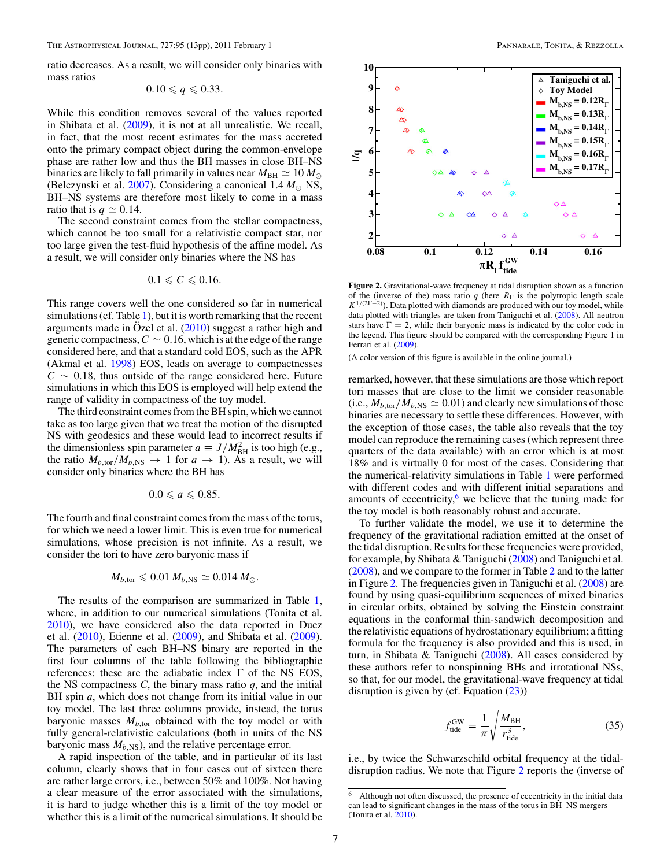<span id="page-6-0"></span>ratio decreases. As a result, we will consider only binaries with mass ratios

$$
0.10 \leqslant q \leqslant 0.33.
$$

While this condition removes several of the values reported in Shibata et al. [\(2009\)](#page-12-0), it is not at all unrealistic. We recall, in fact, that the most recent estimates for the mass accreted onto the primary compact object during the common-envelope phase are rather low and thus the BH masses in close BH–NS binaries are likely to fall primarily in values near  $M_{\text{BH}} \simeq 10 M_{\odot}$ (Belczynski et al. [2007\)](#page-11-0). Considering a canonical  $1.4 M_{\odot}$  NS, BH–NS systems are therefore most likely to come in a mass ratio that is  $q \simeq 0.14$ .

The second constraint comes from the stellar compactness, which cannot be too small for a relativistic compact star, nor too large given the test-fluid hypothesis of the affine model. As a result, we will consider only binaries where the NS has

$$
0.1 \leqslant C \leqslant 0.16.
$$

This range covers well the one considered so far in numerical simulations (cf. Table [1\)](#page-5-0), but it is worth remarking that the recent arguments made in Özel et al.  $(2010)$  $(2010)$  suggest a rather high and generic compactness,  $C \sim 0.16$ , which is at the edge of the range considered here, and that a standard cold EOS, such as the APR (Akmal et al. [1998\)](#page-11-0) EOS, leads on average to compactnesses *C* ∼ 0*.*18, thus outside of the range considered here. Future simulations in which this EOS is employed will help extend the range of validity in compactness of the toy model.

The third constraint comes from the BH spin, which we cannot take as too large given that we treat the motion of the disrupted NS with geodesics and these would lead to incorrect results if the dimensionless spin parameter  $a \equiv J/M_{\rm BH}^2$  is too high (e.g., the ratio  $M_{b,\text{tor}}/M_{b,\text{NS}} \rightarrow 1$  for  $a \rightarrow 1$ ). As a result, we will consider only binaries where the BH has

$$
0.0 \leqslant a \leqslant 0.85.
$$

The fourth and final constraint comes from the mass of the torus, for which we need a lower limit. This is even true for numerical simulations, whose precision is not infinite. As a result, we consider the tori to have zero baryonic mass if

$$
M_{b,\text{tor}} \leqslant 0.01 M_{b,\text{NS}} \simeq 0.014 M_{\odot}.
$$

The results of the comparison are summarized in Table [1,](#page-5-0) where, in addition to our numerical simulations (Tonita et al. [2010\)](#page-12-0), we have considered also the data reported in Duez et al. [\(2010\)](#page-12-0), Etienne et al. [\(2009\)](#page-12-0), and Shibata et al. [\(2009\)](#page-12-0). The parameters of each BH–NS binary are reported in the first four columns of the table following the bibliographic references: these are the adiabatic index Γ of the NS EOS, the NS compactness  $C$ , the binary mass ratio  $q$ , and the initial BH spin *a*, which does not change from its initial value in our toy model. The last three columns provide, instead, the torus baryonic masses  $M_{b,\text{tor}}$  obtained with the toy model or with fully general-relativistic calculations (both in units of the NS baryonic mass  $M_{b,NS}$ ), and the relative percentage error.

A rapid inspection of the table, and in particular of its last column, clearly shows that in four cases out of sixteen there are rather large errors, i.e., between 50% and 100%. Not having a clear measure of the error associated with the simulations, it is hard to judge whether this is a limit of the toy model or whether this is a limit of the numerical simulations. It should be



**Figure 2.** Gravitational-wave frequency at tidal disruption shown as a function of the (inverse of the) mass ratio *q* (here *R*<sup>Γ</sup> is the polytropic length scale *K*1*/*(2Γ<sup>−</sup>2)). Data plotted with diamonds are produced with our toy model, while data plotted with triangles are taken from Taniguchi et al. [\(2008\)](#page-12-0). All neutron stars have  $\Gamma = 2$ , while their baryonic mass is indicated by the color code in the legend. This figure should be compared with the corresponding Figure 1 in Ferrari et al. [\(2009\)](#page-12-0).

(A color version of this figure is available in the online journal.)

remarked, however, that these simulations are those which report tori masses that are close to the limit we consider reasonable  $(i.e., M<sub>b,tor</sub>/M<sub>b,NS</sub> \simeq 0.01)$  and clearly new simulations of those binaries are necessary to settle these differences. However, with the exception of those cases, the table also reveals that the toy model can reproduce the remaining cases (which represent three quarters of the data available) with an error which is at most 18% and is virtually 0 for most of the cases. Considering that the numerical-relativity simulations in Table [1](#page-5-0) were performed with different codes and with different initial separations and amounts of eccentricity,<sup>6</sup> we believe that the tuning made for the toy model is both reasonably robust and accurate.

To further validate the model, we use it to determine the frequency of the gravitational radiation emitted at the onset of the tidal disruption. Results for these frequencies were provided, for example, by Shibata & Taniguchi [\(2008\)](#page-12-0) and Taniguchi et al. [\(2008\)](#page-12-0), and we compare to the former in Table [2](#page-7-0) and to the latter in Figure 2. The frequencies given in Taniguchi et al. [\(2008\)](#page-12-0) are found by using quasi-equilibrium sequences of mixed binaries in circular orbits, obtained by solving the Einstein constraint equations in the conformal thin-sandwich decomposition and the relativistic equations of hydrostationary equilibrium; a fitting formula for the frequency is also provided and this is used, in turn, in Shibata & Taniguchi [\(2008\)](#page-12-0). All cases considered by these authors refer to nonspinning BHs and irrotational NSs, so that, for our model, the gravitational-wave frequency at tidal disruption is given by (cf. Equation  $(23)$ )

$$
f_{\rm tide}^{\rm GW} = \frac{1}{\pi} \sqrt{\frac{M_{\rm BH}}{r_{\rm tide}^3}},\tag{35}
$$

i.e., by twice the Schwarzschild orbital frequency at the tidaldisruption radius. We note that Figure 2 reports the (inverse of

<sup>6</sup> Although not often discussed, the presence of eccentricity in the initial data can lead to significant changes in the mass of the torus in BH–NS mergers (Tonita et al. [2010\)](#page-12-0).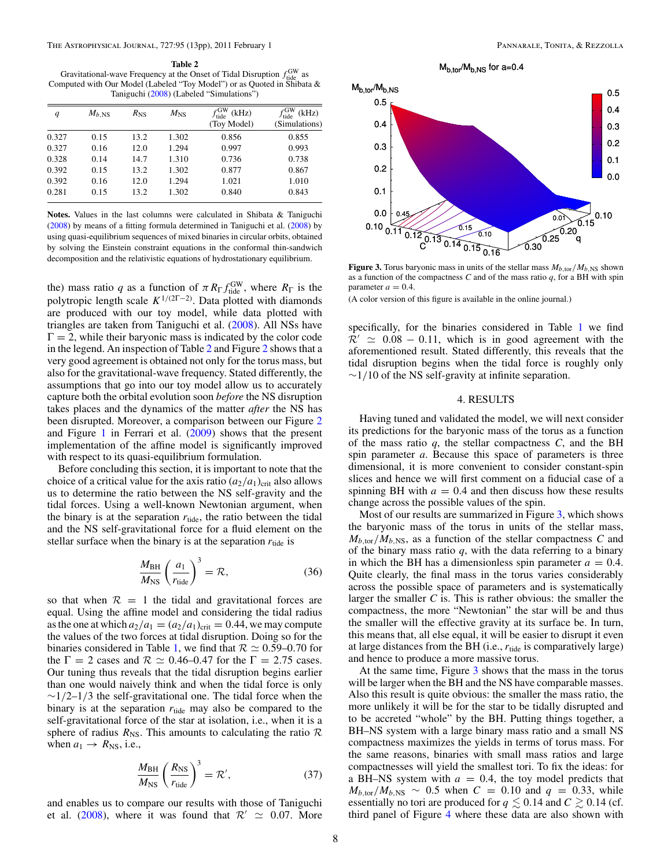#### <span id="page-7-0"></span>The Astrophysical Journal, 727:95 (13pp), 2011 February 1 Pannarale, Tonita, & Rezzolla

**Table 2**

Gravitational-wave Frequency at the Onset of Tidal Disruption  $f_{\text{tide}}^{\text{GW}}$  as Computed with Our Model (Labeled "Toy Model") or as Quoted in Shibata & Taniguchi [\(2008\)](#page-12-0) (Labeled "Simulations")

| q     | $M_{b.NS}$ | $R_{\rm NS}$ | $M_{\rm NS}$ | $f_{\rm tide}^{\rm GW}$<br>(kHz)<br>(Toy Model) | $f_{\rm tide}^{\rm GW}$<br>(kHz)<br>(Simulations) |
|-------|------------|--------------|--------------|-------------------------------------------------|---------------------------------------------------|
| 0.327 | 0.15       | 13.2         | 1.302        | 0.856                                           | 0.855                                             |
| 0.327 | 0.16       | 12.0         | 1.294        | 0.997                                           | 0.993                                             |
| 0.328 | 0.14       | 14.7         | 1.310        | 0.736                                           | 0.738                                             |
| 0.392 | 0.15       | 13.2         | 1.302        | 0.877                                           | 0.867                                             |
| 0.392 | 0.16       | 12.0         | 1.294        | 1.021                                           | 1.010                                             |
| 0.281 | 0.15       | 13.2         | 1.302        | 0.840                                           | 0.843                                             |

**Notes.** Values in the last columns were calculated in Shibata & Taniguchi [\(2008\)](#page-12-0) by means of a fitting formula determined in Taniguchi et al. [\(2008\)](#page-12-0) by using quasi-equilibrium sequences of mixed binaries in circular orbits, obtained by solving the Einstein constraint equations in the conformal thin-sandwich decomposition and the relativistic equations of hydrostationary equilibrium.

the) mass ratio *q* as a function of  $\pi R_{\Gamma} f_{\text{tide}}^{\text{GW}}$ , where  $R_{\Gamma}$  is the polytropic length scale *K*1*/*(2Γ<sup>−</sup>2). Data plotted with diamonds are produced with our toy model, while data plotted with triangles are taken from Taniguchi et al. [\(2008\)](#page-12-0). All NSs have  $\Gamma = 2$ , while their baryonic mass is indicated by the color code in the legend. An inspection of Table 2 and Figure [2](#page-6-0) shows that a very good agreement is obtained not only for the torus mass, but also for the gravitational-wave frequency. Stated differently, the assumptions that go into our toy model allow us to accurately capture both the orbital evolution soon *before* the NS disruption takes places and the dynamics of the matter *after* the NS has been disrupted. Moreover, a comparison between our Figure [2](#page-6-0) and Figure [1](#page-2-0) in Ferrari et al. [\(2009\)](#page-12-0) shows that the present implementation of the affine model is significantly improved with respect to its quasi-equilibrium formulation.

Before concluding this section, it is important to note that the choice of a critical value for the axis ratio  $(a_2/a_1)_{crit}$  also allows us to determine the ratio between the NS self-gravity and the tidal forces. Using a well-known Newtonian argument, when the binary is at the separation  $r_{\text{tide}}$ , the ratio between the tidal and the NS self-gravitational force for a fluid element on the stellar surface when the binary is at the separation  $r_{\text{tide}}$  is

$$
\frac{M_{\rm BH}}{M_{\rm NS}} \left(\frac{a_1}{r_{\rm tide}}\right)^3 = \mathcal{R},\tag{36}
$$

so that when  $\mathcal{R} = 1$  the tidal and gravitational forces are equal. Using the affine model and considering the tidal radius as the one at which  $a_2/a_1 = (a_2/a_1)_{crit} = 0.44$ , we may compute the values of the two forces at tidal disruption. Doing so for the binaries considered in Table [1,](#page-5-0) we find that  $R \simeq 0.59{\text -}0.70$  for the  $\Gamma = 2$  cases and  $\mathcal{R} \simeq 0.46{\text{-}}0.47$  for the  $\Gamma = 2.75$  cases. Our tuning thus reveals that the tidal disruption begins earlier than one would naively think and when the tidal force is only ∼1*/*2–1*/*3 the self-gravitational one. The tidal force when the binary is at the separation  $r_{\text{tide}}$  may also be compared to the self-gravitational force of the star at isolation, i.e., when it is a sphere of radius  $R_{\text{NS}}$ . This amounts to calculating the ratio  $\mathcal{R}$ when  $a_1 \rightarrow R_{NS}$ , i.e.,

$$
\frac{M_{\text{BH}}}{M_{\text{NS}}} \left(\frac{R_{\text{NS}}}{r_{\text{tide}}}\right)^3 = \mathcal{R}',\tag{37}
$$

and enables us to compare our results with those of Taniguchi et al. [\(2008\)](#page-12-0), where it was found that  $\mathcal{R}' \simeq 0.07$ . More

 $M_{b,tor}/M_{b,NS}$  for a=0.4



**Figure 3.** Torus baryonic mass in units of the stellar mass  $M_{b,\text{tor}}/M_{b,\text{NS}}$  shown as a function of the compactness  $C$  and of the mass ratio  $q$ , for a BH with spin parameter  $a = 0.4$ .

(A color version of this figure is available in the online journal.)

specifically, for the binaries considered in Table [1](#page-5-0) we find  $\mathcal{R}' \simeq 0.08 - 0.11$ , which is in good agreement with the aforementioned result. Stated differently, this reveals that the tidal disruption begins when the tidal force is roughly only ∼1*/*10 of the NS self-gravity at infinite separation.

### 4. RESULTS

Having tuned and validated the model, we will next consider its predictions for the baryonic mass of the torus as a function of the mass ratio *q*, the stellar compactness *C*, and the BH spin parameter *a*. Because this space of parameters is three dimensional, it is more convenient to consider constant-spin slices and hence we will first comment on a fiducial case of a spinning BH with  $a = 0.4$  and then discuss how these results change across the possible values of the spin.

Most of our results are summarized in Figure 3, which shows the baryonic mass of the torus in units of the stellar mass,  $M_{b,\text{tor}}/M_{b,\text{NS}}$ , as a function of the stellar compactness *C* and of the binary mass ratio *q*, with the data referring to a binary in which the BH has a dimensionless spin parameter  $a = 0.4$ . Quite clearly, the final mass in the torus varies considerably across the possible space of parameters and is systematically larger the smaller *C* is. This is rather obvious: the smaller the compactness, the more "Newtonian" the star will be and thus the smaller will the effective gravity at its surface be. In turn, this means that, all else equal, it will be easier to disrupt it even at large distances from the BH (i.e.,  $r_{\text{tide}}$  is comparatively large) and hence to produce a more massive torus.

At the same time, Figure 3 shows that the mass in the torus will be larger when the BH and the NS have comparable masses. Also this result is quite obvious: the smaller the mass ratio, the more unlikely it will be for the star to be tidally disrupted and to be accreted "whole" by the BH. Putting things together, a BH–NS system with a large binary mass ratio and a small NS compactness maximizes the yields in terms of torus mass. For the same reasons, binaries with small mass ratios and large compactnesses will yield the smallest tori. To fix the ideas: for a BH–NS system with  $a = 0.4$ , the toy model predicts that *M<sub>b,tor</sub>*/*M<sub>b,NS</sub>* ∼ 0.5 when *C* = 0.10 and *q* = 0.33, while essentially no tori are produced for  $q \lesssim 0.14$  and  $C \gtrsim 0.14$  (cf. third panel of Figure [4](#page-9-0) where these data are also shown with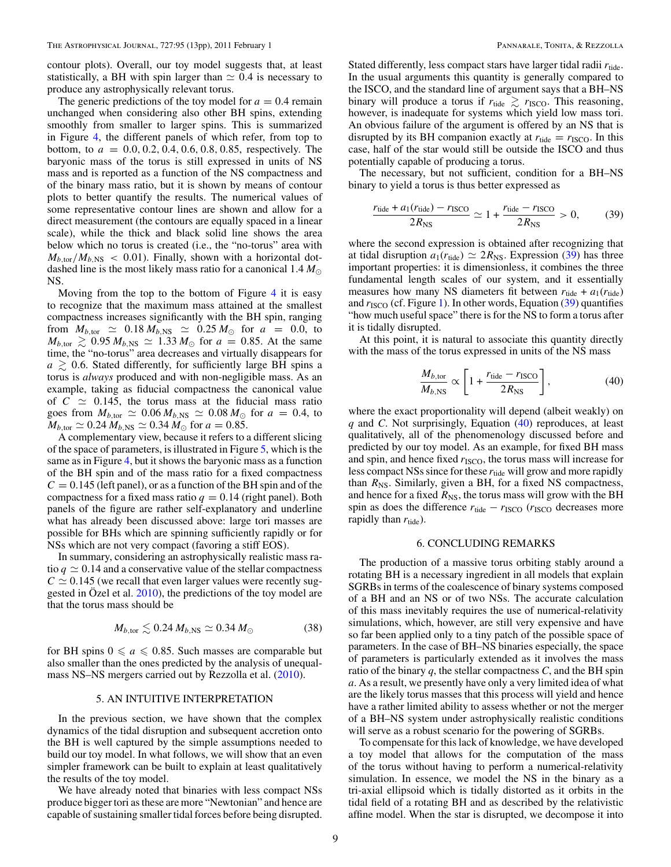<span id="page-8-0"></span>contour plots). Overall, our toy model suggests that, at least statistically, a BH with spin larger than  $\simeq 0.4$  is necessary to produce any astrophysically relevant torus.

The generic predictions of the toy model for  $a = 0.4$  remain unchanged when considering also other BH spins, extending smoothly from smaller to larger spins. This is summarized in Figure [4,](#page-9-0) the different panels of which refer, from top to bottom, to *a* = 0*.*0*,* 0*.*2*,* 0*.*4*,* 0*.*6*,* 0*.*8*,* 0*.*85, respectively. The baryonic mass of the torus is still expressed in units of NS mass and is reported as a function of the NS compactness and of the binary mass ratio, but it is shown by means of contour plots to better quantify the results. The numerical values of some representative contour lines are shown and allow for a direct measurement (the contours are equally spaced in a linear scale), while the thick and black solid line shows the area below which no torus is created (i.e., the "no-torus" area with  $M_{b,\text{tor}}/M_{b,\text{NS}}$  < 0.01). Finally, shown with a horizontal dotdashed line is the most likely mass ratio for a canonical 1*.*4 *M* NS.

Moving from the top to the bottom of Figure [4](#page-9-0) it is easy to recognize that the maximum mass attained at the smallest compactness increases significantly with the BH spin, ranging from  $M_{b,\text{tor}} \simeq 0.18 M_{b,\text{NS}} \simeq 0.25 M_{\odot}$  for  $a = 0.0$ , to  $M_{b, \text{tor}} \gtrsim 0.95 M_{b, \text{NS}} \simeq 1.33 M_{\odot}$  for  $a = 0.85$ . At the same time, the "no-torus" area decreases and virtually disappears for  $a \geq 0.6$ . Stated differently, for sufficiently large BH spins a torus is *always* produced and with non-negligible mass. As an example, taking as fiducial compactness the canonical value of  $C \approx 0.145$ , the torus mass at the fiducial mass ratio goes from  $M_{b,\text{tor}} \simeq 0.06 M_{b,\text{NS}} \simeq 0.08 M_{\odot}$  for  $a = 0.4$ , to  $M_{b, \text{tor}} \simeq 0.24 M_{b, \text{NS}} \simeq 0.34 M_{\odot}$  for  $a = 0.85$ .

A complementary view, because it refers to a different slicing of the space of parameters, is illustrated in Figure [5,](#page-10-0) which is the same as in Figure [4,](#page-9-0) but it shows the baryonic mass as a function of the BH spin and of the mass ratio for a fixed compactness  $C = 0.145$  (left panel), or as a function of the BH spin and of the compactness for a fixed mass ratio  $q = 0.14$  (right panel). Both panels of the figure are rather self-explanatory and underline what has already been discussed above: large tori masses are possible for BHs which are spinning sufficiently rapidly or for NSs which are not very compact (favoring a stiff EOS).

In summary, considering an astrophysically realistic mass ratio  $q \approx 0.14$  and a conservative value of the stellar compactness  $C \simeq 0.145$  (we recall that even larger values were recently suggested in Özel et al.  $2010$ ), the predictions of the toy model are that the torus mass should be

$$
M_{b,\text{tor}} \lesssim 0.24 \, M_{b,\text{NS}} \simeq 0.34 \, M_{\odot} \tag{38}
$$

for BH spins  $0 \le a \le 0.85$ . Such masses are comparable but also smaller than the ones predicted by the analysis of unequalmass NS–NS mergers carried out by Rezzolla et al. [\(2010\)](#page-12-0).

## 5. AN INTUITIVE INTERPRETATION

In the previous section, we have shown that the complex dynamics of the tidal disruption and subsequent accretion onto the BH is well captured by the simple assumptions needed to build our toy model. In what follows, we will show that an even simpler framework can be built to explain at least qualitatively the results of the toy model.

We have already noted that binaries with less compact NSs produce bigger tori as these are more "Newtonian" and hence are capable of sustaining smaller tidal forces before being disrupted.

Stated differently, less compact stars have larger tidal radii  $r_{\text{tide}}$ . In the usual arguments this quantity is generally compared to the ISCO, and the standard line of argument says that a BH–NS binary will produce a torus if  $r_{\text{tide}} \gtrsim r_{\text{ISCO}}$ . This reasoning, however, is inadequate for systems which yield low mass tori. An obvious failure of the argument is offered by an NS that is disrupted by its BH companion exactly at  $r_{\text{tide}} = r_{\text{ISCO}}$ . In this case, half of the star would still be outside the ISCO and thus potentially capable of producing a torus.

The necessary, but not sufficient, condition for a BH–NS binary to yield a torus is thus better expressed as

$$
\frac{r_{\text{tide}} + a_1(r_{\text{tide}}) - r_{\text{ISCO}}}{2R_{\text{NS}}} \simeq 1 + \frac{r_{\text{tide}} - r_{\text{ISCO}}}{2R_{\text{NS}}} > 0,\tag{39}
$$

where the second expression is obtained after recognizing that at tidal disruption  $a_1(r_{\text{tide}}) \simeq 2R_{\text{NS}}$ . Expression (39) has three important properties: it is dimensionless, it combines the three fundamental length scales of our system, and it essentially measures how many NS diameters fit between  $r_{\text{tide}} + a_1(r_{\text{tide}})$ and  $r_{\text{ISCO}}$  (cf. Figure [1\)](#page-2-0). In other words, Equation  $(39)$  quantifies "how much useful space" there is for the NS to form a torus after it is tidally disrupted.

At this point, it is natural to associate this quantity directly with the mass of the torus expressed in units of the NS mass

$$
\frac{M_{b,\text{tor}}}{M_{b,\text{NS}}} \propto \left[1 + \frac{r_{\text{tide}} - r_{\text{ISCO}}}{2R_{\text{NS}}}\right],\tag{40}
$$

where the exact proportionality will depend (albeit weakly) on *q* and *C*. Not surprisingly, Equation (40) reproduces, at least qualitatively, all of the phenomenology discussed before and predicted by our toy model. As an example, for fixed BH mass and spin, and hence fixed  $r<sub>ISCO</sub>$ , the torus mass will increase for less compact NSs since for these  $r_{\text{tide}}$  will grow and more rapidly than  $R_{NS}$ . Similarly, given a BH, for a fixed NS compactness, and hence for a fixed  $R_{\text{NS}}$ , the torus mass will grow with the BH spin as does the difference  $r_{\text{tide}} - r_{\text{ISCO}}$  ( $r_{\text{ISCO}}$  decreases more rapidly than  $r_{\text{tide}}$ ).

### 6. CONCLUDING REMARKS

The production of a massive torus orbiting stably around a rotating BH is a necessary ingredient in all models that explain SGRBs in terms of the coalescence of binary systems composed of a BH and an NS or of two NSs. The accurate calculation of this mass inevitably requires the use of numerical-relativity simulations, which, however, are still very expensive and have so far been applied only to a tiny patch of the possible space of parameters. In the case of BH–NS binaries especially, the space of parameters is particularly extended as it involves the mass ratio of the binary *q*, the stellar compactness *C*, and the BH spin *a*. As a result, we presently have only a very limited idea of what are the likely torus masses that this process will yield and hence have a rather limited ability to assess whether or not the merger of a BH–NS system under astrophysically realistic conditions will serve as a robust scenario for the powering of SGRBs.

To compensate for this lack of knowledge, we have developed a toy model that allows for the computation of the mass of the torus without having to perform a numerical-relativity simulation. In essence, we model the NS in the binary as a tri-axial ellipsoid which is tidally distorted as it orbits in the tidal field of a rotating BH and as described by the relativistic affine model. When the star is disrupted, we decompose it into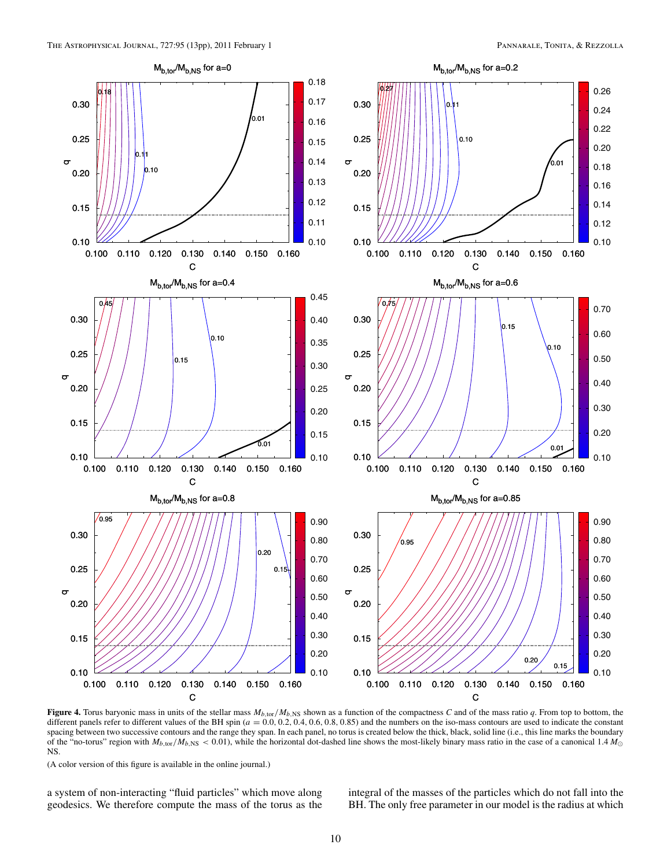<span id="page-9-0"></span>

**Figure 4.** Torus baryonic mass in units of the stellar mass  $M_{b, \text{tor}}/M_{b, \text{NS}}$  shown as a function of the compactness *C* and of the mass ratio *q*. From top to bottom, the different panels refer to different values of the BH spin  $(a = 0.0, 0.2, 0.4, 0.6, 0.8, 0.85)$  and the numbers on the iso-mass contours are used to indicate the constant spacing between two successive contours and the range they span. In each panel, no torus is created below the thick, black, solid line (i.e., this line marks the boundary of the "no-torus" region with  $M_{b,\text{tor}}/M_{b,\text{NS}} < 0.01$ ), while the horizontal dot-dashed line shows the most-likely binary mass ratio in the case of a canonical 1.4  $M_{\odot}$ NS.

(A color version of this figure is available in the online journal.)

a system of non-interacting "fluid particles" which move along geodesics. We therefore compute the mass of the torus as the integral of the masses of the particles which do not fall into the BH. The only free parameter in our model is the radius at which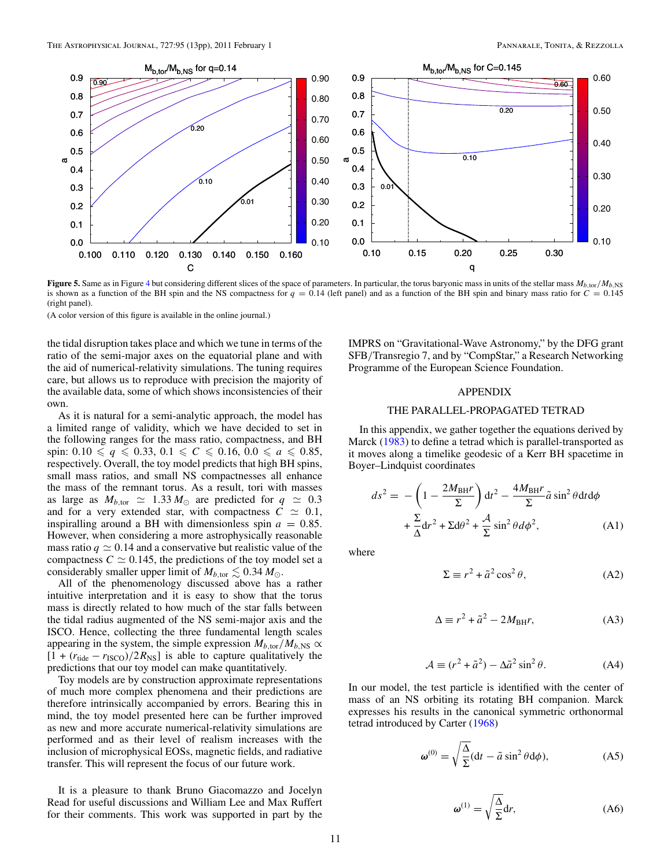<span id="page-10-0"></span>

**Figure 5.** Same as in Figure [4](#page-9-0) but considering different slices of the space of parameters. In particular, the torus baryonic mass in units of the stellar mass *Mb,*tor*/Mb,*NS is shown as a function of the BH spin and the NS compactness for  $q = 0.14$  (left panel) and as a function of the BH spin and binary mass ratio for  $\dot{C} = 0.145$ (right panel).

(A color version of this figure is available in the online journal.)

the tidal disruption takes place and which we tune in terms of the ratio of the semi-major axes on the equatorial plane and with the aid of numerical-relativity simulations. The tuning requires care, but allows us to reproduce with precision the majority of the available data, some of which shows inconsistencies of their own.

As it is natural for a semi-analytic approach, the model has a limited range of validity, which we have decided to set in the following ranges for the mass ratio, compactness, and BH spin:  $0.10 \le q \le 0.33, 0.1 \le C \le 0.16, 0.0 \le a \le 0.85$ , respectively. Overall, the toy model predicts that high BH spins, small mass ratios, and small NS compactnesses all enhance the mass of the remnant torus. As a result, tori with masses as large as  $M_{b, \text{tor}} \simeq 1.33 M_{\odot}$  are predicted for  $q \simeq 0.3$ and for a very extended star, with compactness  $C \simeq 0.1$ , inspiralling around a BH with dimensionless spin  $a = 0.85$ . However, when considering a more astrophysically reasonable mass ratio  $q \approx 0.14$  and a conservative but realistic value of the compactness  $C \simeq 0.145$ , the predictions of the toy model set a considerably smaller upper limit of  $M_{b,\text{tor}} \lesssim 0.34 \, M_{\odot}.$ 

All of the phenomenology discussed above has a rather intuitive interpretation and it is easy to show that the torus mass is directly related to how much of the star falls between the tidal radius augmented of the NS semi-major axis and the ISCO. Hence, collecting the three fundamental length scales appearing in the system, the simple expression  $M_{b,\text{tor}}/M_{b,\text{NS}} \propto$  $[1 + (r_{\text{tide}} - r_{\text{ISCO}})/2R_{\text{NS}}]$  is able to capture qualitatively the predictions that our toy model can make quantitatively.

Toy models are by construction approximate representations of much more complex phenomena and their predictions are therefore intrinsically accompanied by errors. Bearing this in mind, the toy model presented here can be further improved as new and more accurate numerical-relativity simulations are performed and as their level of realism increases with the inclusion of microphysical EOSs, magnetic fields, and radiative transfer. This will represent the focus of our future work.

It is a pleasure to thank Bruno Giacomazzo and Jocelyn Read for useful discussions and William Lee and Max Ruffert for their comments. This work was supported in part by the

IMPRS on "Gravitational-Wave Astronomy," by the DFG grant SFB*/*Transregio 7, and by "CompStar," a Research Networking Programme of the European Science Foundation.

# APPENDIX

## THE PARALLEL-PROPAGATED TETRAD

In this appendix, we gather together the equations derived by Marck [\(1983\)](#page-12-0) to define a tetrad which is parallel-transported as it moves along a timelike geodesic of a Kerr BH spacetime in Boyer–Lindquist coordinates

$$
ds^{2} = -\left(1 - \frac{2M_{\rm BH}r}{\Sigma}\right)dt^{2} - \frac{4M_{\rm BH}r}{\Sigma}\tilde{a}\sin^{2}\theta dt d\phi
$$

$$
+ \frac{\Sigma}{\Delta}dr^{2} + \Sigma d\theta^{2} + \frac{\mathcal{A}}{\Sigma}\sin^{2}\theta d\phi^{2}, \tag{A1}
$$

where

$$
\Sigma \equiv r^2 + \tilde{a}^2 \cos^2 \theta,\tag{A2}
$$

$$
\Delta \equiv r^2 + \tilde{a}^2 - 2M_{\rm BH}r,\tag{A3}
$$

$$
\mathcal{A} \equiv (r^2 + \tilde{a}^2) - \Delta \tilde{a}^2 \sin^2 \theta. \tag{A4}
$$

In our model, the test particle is identified with the center of mass of an NS orbiting its rotating BH companion. Marck expresses his results in the canonical symmetric orthonormal tetrad introduced by Carter [\(1968\)](#page-11-0)

$$
\boldsymbol{\omega}^{(0)} = \sqrt{\frac{\Delta}{\Sigma}} (\mathrm{d}t - \tilde{a}\sin^2\theta \,\mathrm{d}\phi),\tag{A5}
$$

$$
\omega^{(1)} = \sqrt{\frac{\Delta}{\Sigma}} dr,\tag{A6}
$$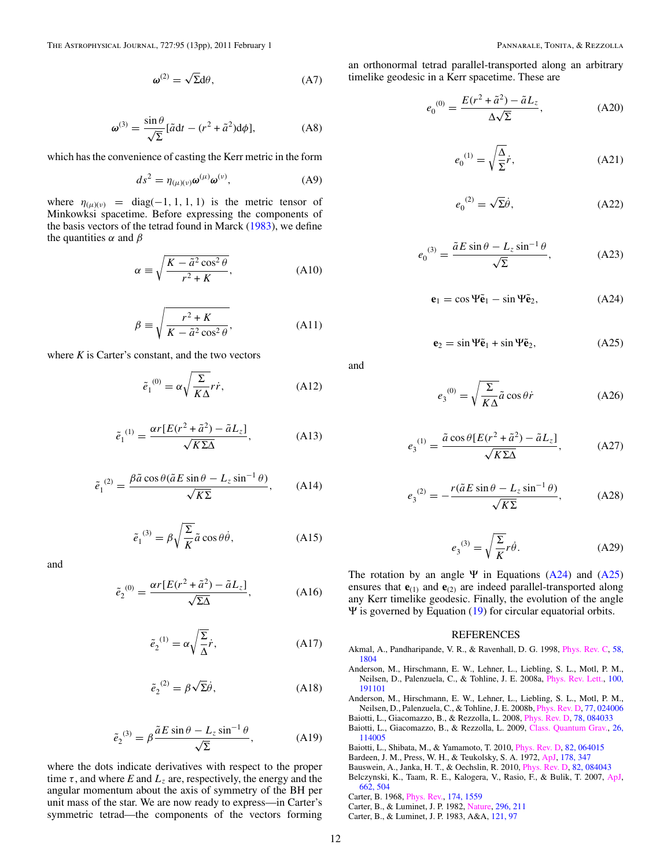$$
\boldsymbol{\omega}^{(2)} = \sqrt{\Sigma} \mathbf{d}\theta,\tag{A7}
$$

$$
\omega^{(3)} = \frac{\sin \theta}{\sqrt{\Sigma}} [\tilde{a} dt - (r^2 + \tilde{a}^2) d\phi], \tag{A8}
$$

<span id="page-11-0"></span>which has the convenience of casting the Kerr metric in the form

$$
ds^2 = \eta_{(\mu)(\nu)}\omega^{(\mu)}\omega^{(\nu)},\tag{A9}
$$

where  $\eta_{(\mu)(\nu)} = \text{diag}(-1, 1, 1, 1)$  is the metric tensor of Minkowksi spacetime. Before expressing the components of the basis vectors of the tetrad found in Marck  $(1983)$ , we define the quantities *α* and *β*

$$
\alpha \equiv \sqrt{\frac{K - \tilde{a}^2 \cos^2 \theta}{r^2 + K}},\tag{A10}
$$

$$
\beta \equiv \sqrt{\frac{r^2 + K}{K - \tilde{a}^2 \cos^2 \theta}},
$$
\n(A11)

where  $K$  is Carter's constant, and the two vectors

$$
\tilde{e}_1^{(0)} = \alpha \sqrt{\frac{\Sigma}{K\Delta}} r \dot{r},\tag{A12}
$$

$$
\tilde{e}_1^{(1)} = \frac{\alpha r [E(r^2 + \tilde{a}^2) - \tilde{a}L_z]}{\sqrt{K\Sigma\Delta}},
$$
\n(A13)

$$
\tilde{e}_1^{(2)} = \frac{\beta \tilde{a} \cos \theta (\tilde{a} E \sin \theta - L_z \sin^{-1} \theta)}{\sqrt{K\Sigma}}, \quad \text{(A14)}
$$

$$
\tilde{e}_1^{(3)} = \beta \sqrt{\frac{\Sigma}{K}} \tilde{a} \cos \theta \dot{\theta}, \qquad (A15)
$$

and

$$
\tilde{e}_2^{(0)} = \frac{\alpha r [E(r^2 + \tilde{a}^2) - \tilde{a}L_z]}{\sqrt{\Sigma \Delta}}, \tag{A16}
$$

$$
\tilde{e}_2^{(1)} = \alpha \sqrt{\frac{\Sigma}{\Delta}} \dot{r},\tag{A17}
$$

$$
\tilde{e}_2^{(2)} = \beta \sqrt{\Sigma} \dot{\theta}, \qquad (A18)
$$

$$
\tilde{e}_2^{(3)} = \beta \frac{\tilde{a}E\sin\theta - L_z\sin^{-1}\theta}{\sqrt{\Sigma}},
$$
 (A19)

where the dots indicate derivatives with respect to the proper time  $\tau$ , and where *E* and  $L_z$  are, respectively, the energy and the angular momentum about the axis of symmetry of the BH per unit mass of the star. We are now ready to express—in Carter's symmetric tetrad—the components of the vectors forming

an orthonormal tetrad parallel-transported along an arbitrary timelike geodesic in a Kerr spacetime. These are

$$
e_0^{(0)} = \frac{E(r^2 + \tilde{a}^2) - \tilde{a}L_z}{\Delta\sqrt{\Sigma}},
$$
 (A20)

$$
e_0^{(1)} = \sqrt{\frac{\Delta}{\Sigma}} \dot{r},\tag{A21}
$$

$$
e_0^{(2)} = \sqrt{\Sigma} \dot{\theta},\tag{A22}
$$

$$
e_0^{(3)} = \frac{\tilde{a}E\sin\theta - L_z\sin^{-1}\theta}{\sqrt{\Sigma}},
$$
 (A23)

$$
\mathbf{e}_1 = \cos \Psi \tilde{\mathbf{e}}_1 - \sin \Psi \tilde{\mathbf{e}}_2, \tag{A24}
$$

$$
\mathbf{e}_2 = \sin \Psi \tilde{\mathbf{e}}_1 + \sin \Psi \tilde{\mathbf{e}}_2, \tag{A25}
$$

and

$$
e_3^{(0)} = \sqrt{\frac{\Sigma}{K\Delta}} \tilde{a} \cos \theta \dot{r}
$$
 (A26)

$$
e_3^{(1)} = \frac{\tilde{a}\cos\theta[E(r^2 + \tilde{a}^2) - \tilde{a}L_z]}{\sqrt{K\Sigma\Delta}},\tag{A27}
$$

$$
e_3^{(2)} = -\frac{r(\tilde{a}E\sin\theta - L_z\sin^{-1}\theta)}{\sqrt{K\Sigma}},
$$
 (A28)

$$
e_3^{(3)} = \sqrt{\frac{\Sigma}{K}} r \dot{\theta}.\tag{A29}
$$

The rotation by an angle Ψ in Equations  $(A24)$  and  $(A25)$ ensures that **e**<sub>(1)</sub> and **e**<sub>(2)</sub> are indeed parallel-transported along any Kerr timelike geodesic. Finally, the evolution of the angle Ψ is governed by Equation [\(19\)](#page-3-0) for circular equatorial orbits.

### REFERENCES

- Akmal, A., Pandharipande, V. R., & Ravenhall, D. G. 1998, [Phys. Rev. C,](http://dx.doi.org/10.1103/PhysRevC.58.1804) [58,](http://adsabs.harvard.edu/abs/1998PhRvC..58.1804A) [1804](http://adsabs.harvard.edu/abs/1998PhRvC..58.1804A)
- Anderson, M., Hirschmann, E. W., Lehner, L., Liebling, S. L., Motl, P. M., Neilsen, D., Palenzuela, C., & Tohline, J. E. 2008a, [Phys. Rev. Lett.,](http://dx.doi.org/10.1103/PhysRevLett.100.191101) [100,](http://adsabs.harvard.edu/abs/2008PhRvL.100s1101A) [191101](http://adsabs.harvard.edu/abs/2008PhRvL.100s1101A)
- Anderson, M., Hirschmann, E. W., Lehner, L., Liebling, S. L., Motl, P. M., Neilsen, D., Palenzuela, C., & Tohline, J. E. 2008b, [Phys. Rev. D,](http://dx.doi.org/10.1103/PhysRevD.77.024006) [77, 024006](http://adsabs.harvard.edu/abs/2008PhRvD..77b4006A)
- Baiotti, L., Giacomazzo, B., & Rezzolla, L. 2008, [Phys. Rev. D,](http://dx.doi.org/10.1103/PhysRevD.78.084033) [78, 084033](http://adsabs.harvard.edu/abs/2008PhRvD..78h4033B) Baiotti, L., Giacomazzo, B., & Rezzolla, L. 2009, [Class. Quantum Grav.,](http://dx.doi.org/10.1088/0264-9381/26/11/114005) [26,](http://adsabs.harvard.edu/abs/2009CQGra..26k4005B)
- [114005](http://adsabs.harvard.edu/abs/2009CQGra..26k4005B) Baiotti, L., Shibata, M., & Yamamoto, T. 2010, [Phys. Rev. D,](http://dx.doi.org/10.1103/PhysRevD.82.064015) [82, 064015](http://adsabs.harvard.edu/abs/2010PhRvD..82f4015B)
- Bardeen, J. M., Press, W. H., & Teukolsky, S. A. 1972, [ApJ,](http://dx.doi.org/10.1086/151796) [178, 347](http://adsabs.harvard.edu/abs/1972ApJ...178..347B)
- Bauswein, A., Janka, H. T., & Oechslin, R. 2010, [Phys. Rev. D,](http://dx.doi.org/10.1103/PhysRevD.82.084043) [82, 084043](http://adsabs.harvard.edu/abs/2010PhRvD..82h4043B)
- Belczynski, K., Taam, R. E., Kalogera, V., Rasio, F., & Bulik, T. 2007, [ApJ,](http://dx.doi.org/10.1086/513562) [662, 504](http://adsabs.harvard.edu/abs/2007ApJ...662..504B)
- Carter, B. 1968, [Phys. Rev.,](http://dx.doi.org/10.1103/PhysRev.174.1559) [174, 1559](http://adsabs.harvard.edu/abs/1968PhRv..174.1559C)

Carter, B., & Luminet, J. P. 1983, A&A, [121, 97](http://adsabs.harvard.edu/abs/1983A&A...121...97C)

Carter, B., & Luminet, J. P. 1982, [Nature,](http://dx.doi.org/10.1038/296211a0) [296, 211](http://adsabs.harvard.edu/abs/1982Natur.296..211C)